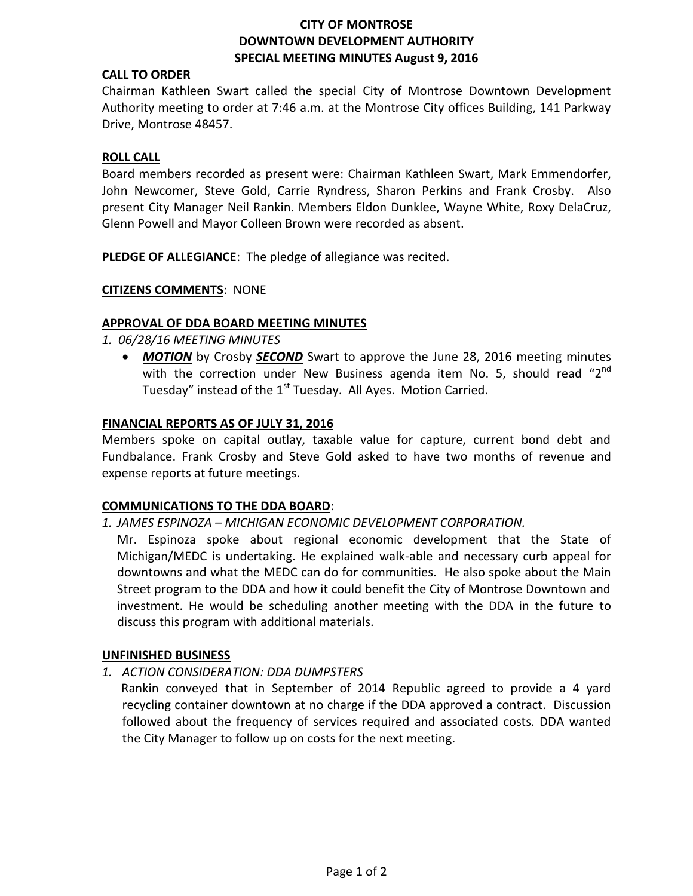# **CITY OF MONTROSE DOWNTOWN DEVELOPMENT AUTHORITY SPECIAL MEETING MINUTES August 9, 2016**

# **CALL TO ORDER**

Chairman Kathleen Swart called the special City of Montrose Downtown Development Authority meeting to order at 7:46 a.m. at the Montrose City offices Building, 141 Parkway Drive, Montrose 48457.

#### **ROLL CALL**

Board members recorded as present were: Chairman Kathleen Swart, Mark Emmendorfer, John Newcomer, Steve Gold, Carrie Ryndress, Sharon Perkins and Frank Crosby. Also present City Manager Neil Rankin. Members Eldon Dunklee, Wayne White, Roxy DelaCruz, Glenn Powell and Mayor Colleen Brown were recorded as absent.

**PLEDGE OF ALLEGIANCE**: The pledge of allegiance was recited.

#### **CITIZENS COMMENTS**: NONE

## **APPROVAL OF DDA BOARD MEETING MINUTES**

*1. 06/28/16 MEETING MINUTES*

 *MOTION* by Crosby *SECOND* Swart to approve the June 28, 2016 meeting minutes with the correction under New Business agenda item No. 5, should read "2<sup>nd</sup> Tuesday" instead of the  $1<sup>st</sup>$  Tuesday. All Ayes. Motion Carried.

#### **FINANCIAL REPORTS AS OF JULY 31, 2016**

Members spoke on capital outlay, taxable value for capture, current bond debt and Fundbalance. Frank Crosby and Steve Gold asked to have two months of revenue and expense reports at future meetings.

## **COMMUNICATIONS TO THE DDA BOARD**:

## *1. JAMES ESPINOZA – MICHIGAN ECONOMIC DEVELOPMENT CORPORATION.*

Mr. Espinoza spoke about regional economic development that the State of Michigan/MEDC is undertaking. He explained walk-able and necessary curb appeal for downtowns and what the MEDC can do for communities. He also spoke about the Main Street program to the DDA and how it could benefit the City of Montrose Downtown and investment. He would be scheduling another meeting with the DDA in the future to discuss this program with additional materials.

#### **UNFINISHED BUSINESS**

*1. ACTION CONSIDERATION: DDA DUMPSTERS*

 Rankin conveyed that in September of 2014 Republic agreed to provide a 4 yard recycling container downtown at no charge if the DDA approved a contract. Discussion followed about the frequency of services required and associated costs. DDA wanted the City Manager to follow up on costs for the next meeting.